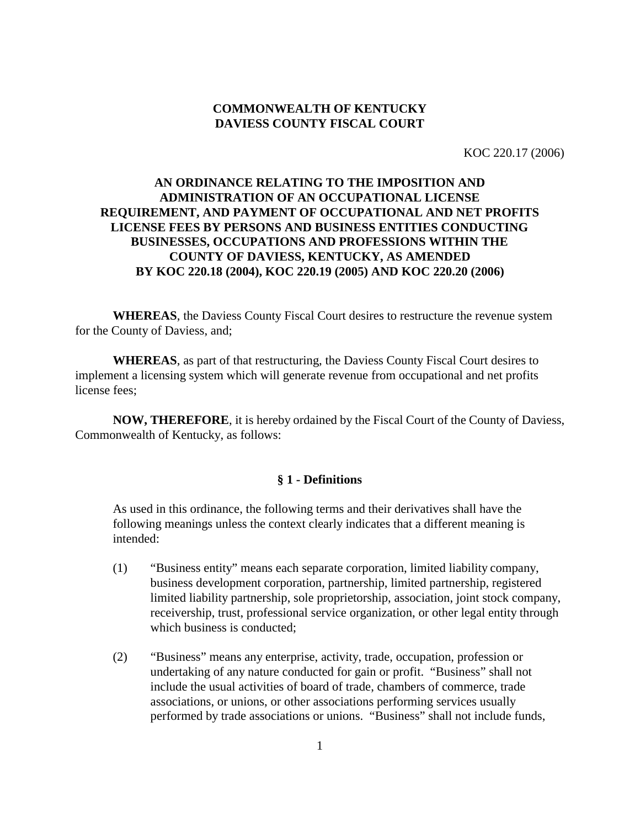# **COMMONWEALTH OF KENTUCKY DAVIESS COUNTY FISCAL COURT**

KOC 220.17 (2006)

# **AN ORDINANCE RELATING TO THE IMPOSITION AND ADMINISTRATION OF AN OCCUPATIONAL LICENSE REQUIREMENT, AND PAYMENT OF OCCUPATIONAL AND NET PROFITS LICENSE FEES BY PERSONS AND BUSINESS ENTITIES CONDUCTING BUSINESSES, OCCUPATIONS AND PROFESSIONS WITHIN THE COUNTY OF DAVIESS, KENTUCKY, AS AMENDED BY KOC 220.18 (2004), KOC 220.19 (2005) AND KOC 220.20 (2006)**

**WHEREAS**, the Daviess County Fiscal Court desires to restructure the revenue system for the County of Daviess, and;

**WHEREAS**, as part of that restructuring, the Daviess County Fiscal Court desires to implement a licensing system which will generate revenue from occupational and net profits license fees;

**NOW, THEREFORE**, it is hereby ordained by the Fiscal Court of the County of Daviess, Commonwealth of Kentucky, as follows:

#### **§ 1 - Definitions**

As used in this ordinance, the following terms and their derivatives shall have the following meanings unless the context clearly indicates that a different meaning is intended:

- (1)"Business entity" means each separate corporation, limited liability company, business development corporation, partnership, limited partnership, registered limited liability partnership, sole proprietorship, association, joint stock company, receivership, trust, professional service organization, or other legal entity through which business is conducted;
- (2) "Business" means any enterprise, activity, trade, occupation, profession or undertaking of any nature conducted for gain or profit. "Business" shall not include the usual activities of board of trade, chambers of commerce, trade associations, or unions, or other associations performing services usually performed by trade associations or unions. "Business" shall not include funds,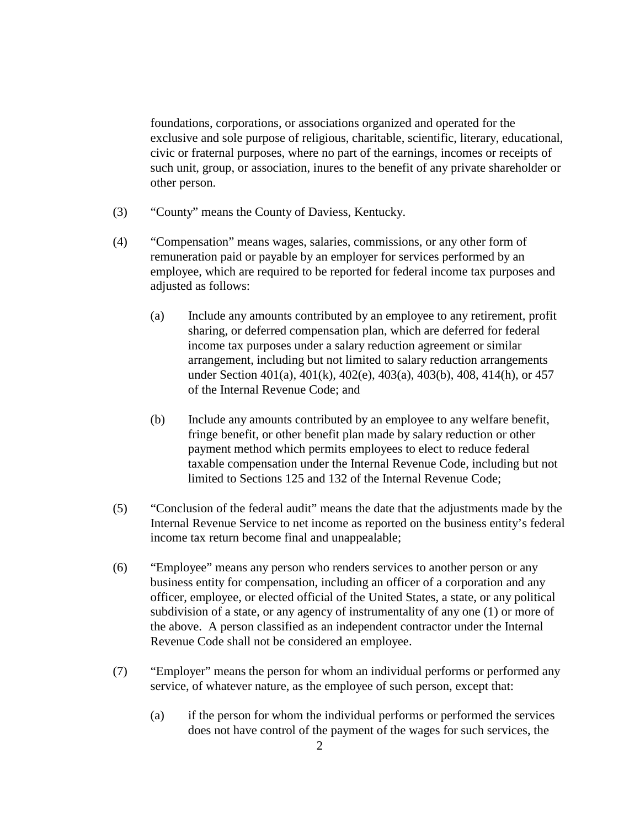foundations, corporations, or associations organized and operated for the exclusive and sole purpose of religious, charitable, scientific, literary, educational, civic or fraternal purposes, where no part of the earnings, incomes or receipts of such unit, group, or association, inures to the benefit of any private shareholder or other person.

- (3) "County" means the County of Daviess, Kentucky.
- (4) "Compensation" means wages, salaries, commissions, or any other form of remuneration paid or payable by an employer for services performed by an employee, which are required to be reported for federal income tax purposes and adjusted as follows:
	- (a) Include any amounts contributed by an employee to any retirement, profit sharing, or deferred compensation plan, which are deferred for federal income tax purposes under a salary reduction agreement or similar arrangement, including but not limited to salary reduction arrangements under Section 401(a), 401(k), 402(e), 403(a), 403(b), 408, 414(h), or 457 of the Internal Revenue Code; and
	- (b) Include any amounts contributed by an employee to any welfare benefit, fringe benefit, or other benefit plan made by salary reduction or other payment method which permits employees to elect to reduce federal taxable compensation under the Internal Revenue Code, including but not limited to Sections 125 and 132 of the Internal Revenue Code;
- (5) "Conclusion of the federal audit" means the date that the adjustments made by the Internal Revenue Service to net income as reported on the business entity's federal income tax return become final and unappealable;
- (6) "Employee" means any person who renders services to another person or any business entity for compensation, including an officer of a corporation and any officer, employee, or elected official of the United States, a state, or any political subdivision of a state, or any agency of instrumentality of any one (1) or more of the above. A person classified as an independent contractor under the Internal Revenue Code shall not be considered an employee.
- (7) "Employer" means the person for whom an individual performs or performed any service, of whatever nature, as the employee of such person, except that:
	- (a) if the person for whom the individual performs or performed the services does not have control of the payment of the wages for such services, the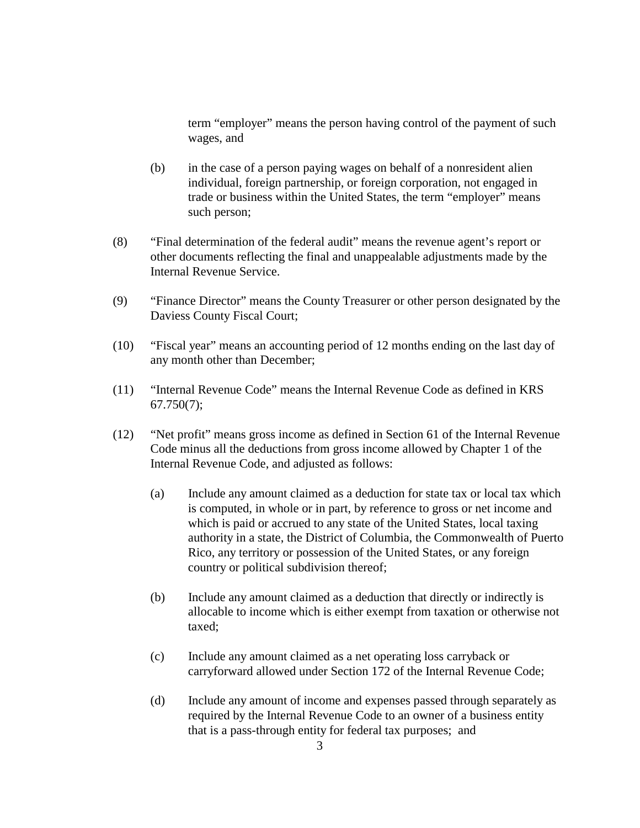term "employer" means the person having control of the payment of such wages, and

- (b) in the case of a person paying wages on behalf of a nonresident alien individual, foreign partnership, or foreign corporation, not engaged in trade or business within the United States, the term "employer" means such person;
- (8) "Final determination of the federal audit" means the revenue agent's report or other documents reflecting the final and unappealable adjustments made by the Internal Revenue Service.
- (9) "Finance Director" means the County Treasurer or other person designated by the Daviess County Fiscal Court;
- (10) "Fiscal year" means an accounting period of 12 months ending on the last day of any month other than December;
- (11) "Internal Revenue Code" means the Internal Revenue Code as defined in KRS 67.750(7);
- (12) "Net profit" means gross income as defined in Section 61 of the Internal Revenue Code minus all the deductions from gross income allowed by Chapter 1 of the Internal Revenue Code, and adjusted as follows:
	- (a) Include any amount claimed as a deduction for state tax or local tax which is computed, in whole or in part, by reference to gross or net income and which is paid or accrued to any state of the United States, local taxing authority in a state, the District of Columbia, the Commonwealth of Puerto Rico, any territory or possession of the United States, or any foreign country or political subdivision thereof;
	- (b) Include any amount claimed as a deduction that directly or indirectly is allocable to income which is either exempt from taxation or otherwise not taxed;
	- (c) Include any amount claimed as a net operating loss carryback or carryforward allowed under Section 172 of the Internal Revenue Code;
	- (d) Include any amount of income and expenses passed through separately as required by the Internal Revenue Code to an owner of a business entity that is a pass-through entity for federal tax purposes; and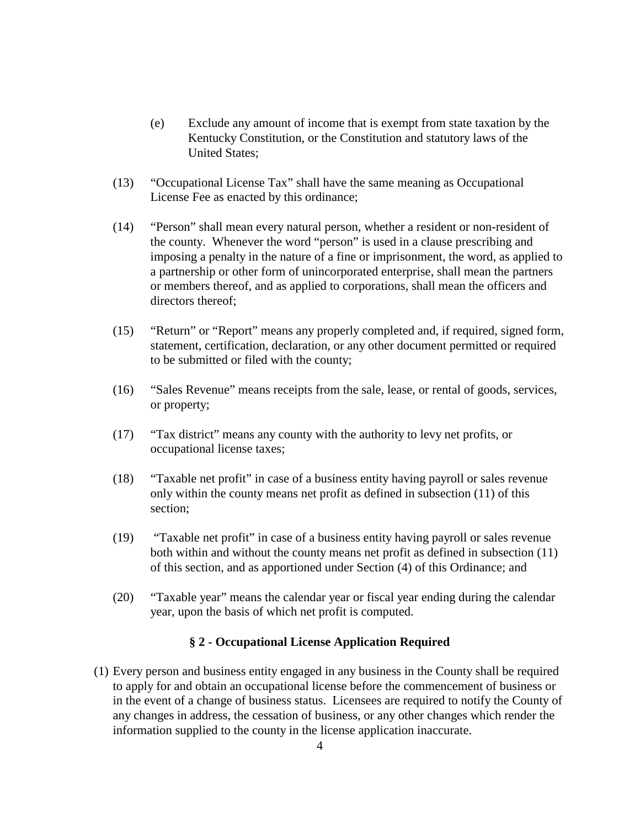- (e) Exclude any amount of income that is exempt from state taxation by the Kentucky Constitution, or the Constitution and statutory laws of the United States;
- (13) "Occupational License Tax" shall have the same meaning as Occupational License Fee as enacted by this ordinance;
- (14) "Person" shall mean every natural person, whether a resident or non-resident of the county. Whenever the word "person" is used in a clause prescribing and imposing a penalty in the nature of a fine or imprisonment, the word, as applied to a partnership or other form of unincorporated enterprise, shall mean the partners or members thereof, and as applied to corporations, shall mean the officers and directors thereof;
- (15) "Return" or "Report" means any properly completed and, if required, signed form, statement, certification, declaration, or any other document permitted or required to be submitted or filed with the county;
- (16) "Sales Revenue" means receipts from the sale, lease, or rental of goods, services, or property;
- (17) "Tax district" means any county with the authority to levy net profits, or occupational license taxes;
- (18) "Taxable net profit" in case of a business entity having payroll or sales revenue only within the county means net profit as defined in subsection (11) of this section;
- (19) "Taxable net profit" in case of a business entity having payroll or sales revenue both within and without the county means net profit as defined in subsection (11) of this section, and as apportioned under Section (4) of this Ordinance; and
- (20) "Taxable year" means the calendar year or fiscal year ending during the calendar year, upon the basis of which net profit is computed.

# **§ 2 - Occupational License Application Required**

(1) Every person and business entity engaged in any business in the County shall be required to apply for and obtain an occupational license before the commencement of business or in the event of a change of business status. Licensees are required to notify the County of any changes in address, the cessation of business, or any other changes which render the information supplied to the county in the license application inaccurate.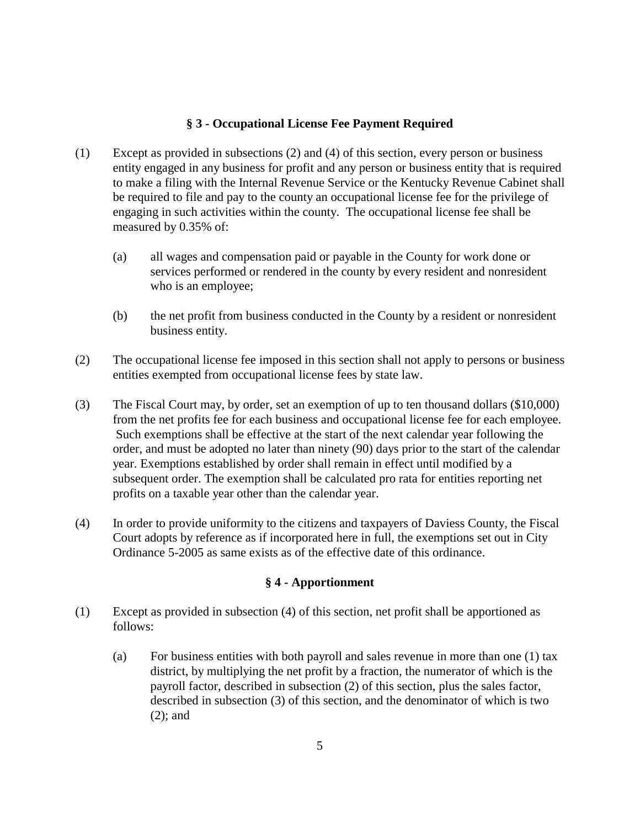# **§ 3 - Occupational License Fee Payment Required**

- (1) Except as provided in subsections (2) and (4) of this section, every person or business entity engaged in any business for profit and any person or business entity that is required to make a filing with the Internal Revenue Service or the Kentucky Revenue Cabinet shall be required to file and pay to the county an occupational license fee for the privilege of engaging in such activities within the county. The occupational license fee shall be measured by 0.35% of:
	- (a) all wages and compensation paid or payable in the County for work done or services performed or rendered in the county by every resident and nonresident who is an employee;
	- (b) the net profit from business conducted in the County by a resident or nonresident business entity.
- (2) The occupational license fee imposed in this section shall not apply to persons or business entities exempted from occupational license fees by state law.
- (3) The Fiscal Court may, by order, set an exemption of up to ten thousand dollars (\$10,000) from the net profits fee for each business and occupational license fee for each employee. Such exemptions shall be effective at the start of the next calendar year following the order, and must be adopted no later than ninety (90) days prior to the start of the calendar year. Exemptions established by order shall remain in effect until modified by a subsequent order. The exemption shall be calculated pro rata for entities reporting net profits on a taxable year other than the calendar year.
- (4) In order to provide uniformity to the citizens and taxpayers of Daviess County, the Fiscal Court adopts by reference as if incorporated here in full, the exemptions set out in City Ordinance 5-2005 as same exists as of the effective date of this ordinance.

# **§ 4 - Apportionment**

- (1) Except as provided in subsection (4) of this section, net profit shall be apportioned as follows:
	- (a) For business entities with both payroll and sales revenue in more than one (1) tax district, by multiplying the net profit by a fraction, the numerator of which is the payroll factor, described in subsection (2) of this section, plus the sales factor, described in subsection (3) of this section, and the denominator of which is two (2); and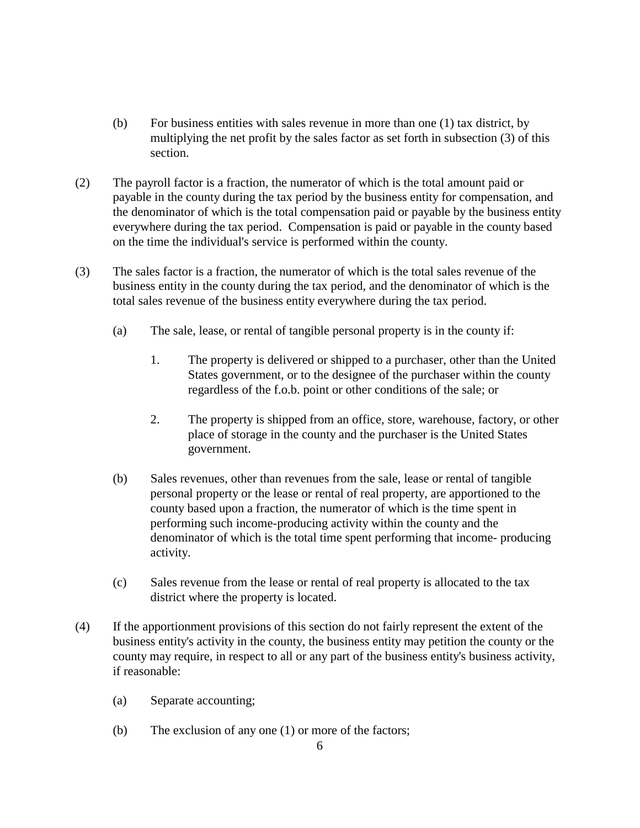- (b) For business entities with sales revenue in more than one (1) tax district, by multiplying the net profit by the sales factor as set forth in subsection (3) of this section.
- (2) The payroll factor is a fraction, the numerator of which is the total amount paid or payable in the county during the tax period by the business entity for compensation, and the denominator of which is the total compensation paid or payable by the business entity everywhere during the tax period. Compensation is paid or payable in the county based on the time the individual's service is performed within the county.
- (3) The sales factor is a fraction, the numerator of which is the total sales revenue of the business entity in the county during the tax period, and the denominator of which is the total sales revenue of the business entity everywhere during the tax period.
	- (a) The sale, lease, or rental of tangible personal property is in the county if:
		- 1. The property is delivered or shipped to a purchaser, other than the United States government, or to the designee of the purchaser within the county regardless of the f.o.b. point or other conditions of the sale; or
		- 2. The property is shipped from an office, store, warehouse, factory, or other place of storage in the county and the purchaser is the United States government.
	- (b) Sales revenues, other than revenues from the sale, lease or rental of tangible personal property or the lease or rental of real property, are apportioned to the county based upon a fraction, the numerator of which is the time spent in performing such income-producing activity within the county and the denominator of which is the total time spent performing that income- producing activity.
	- (c) Sales revenue from the lease or rental of real property is allocated to the tax district where the property is located.
- (4) If the apportionment provisions of this section do not fairly represent the extent of the business entity's activity in the county, the business entity may petition the county or the county may require, in respect to all or any part of the business entity's business activity, if reasonable:
	- (a) Separate accounting;
	- (b) The exclusion of any one (1) or more of the factors;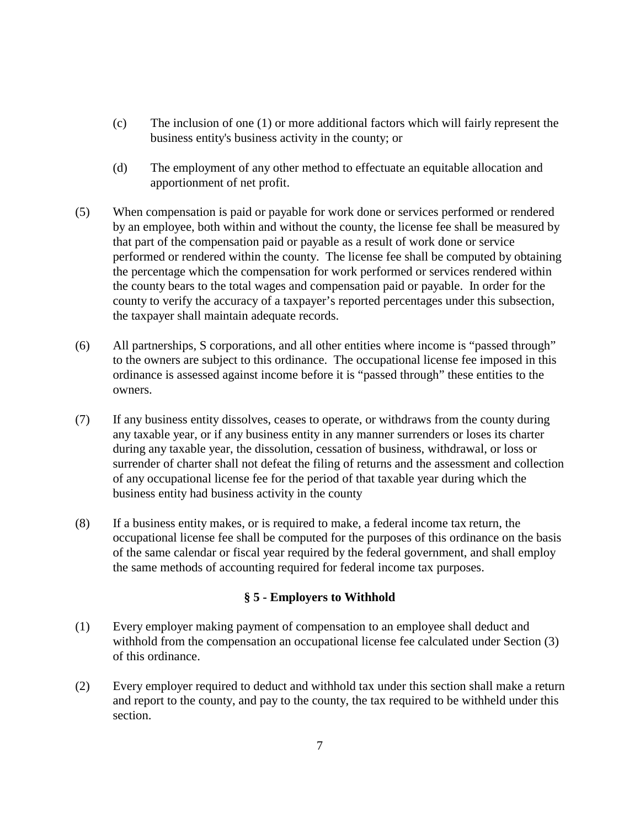- (c) The inclusion of one (1) or more additional factors which will fairly represent the business entity's business activity in the county; or
- (d) The employment of any other method to effectuate an equitable allocation and apportionment of net profit.
- (5) When compensation is paid or payable for work done or services performed or rendered by an employee, both within and without the county, the license fee shall be measured by that part of the compensation paid or payable as a result of work done or service performed or rendered within the county. The license fee shall be computed by obtaining the percentage which the compensation for work performed or services rendered within the county bears to the total wages and compensation paid or payable. In order for the county to verify the accuracy of a taxpayer's reported percentages under this subsection, the taxpayer shall maintain adequate records.
- (6) All partnerships, S corporations, and all other entities where income is "passed through" to the owners are subject to this ordinance. The occupational license fee imposed in this ordinance is assessed against income before it is "passed through" these entities to the owners.
- (7) If any business entity dissolves, ceases to operate, or withdraws from the county during any taxable year, or if any business entity in any manner surrenders or loses its charter during any taxable year, the dissolution, cessation of business, withdrawal, or loss or surrender of charter shall not defeat the filing of returns and the assessment and collection of any occupational license fee for the period of that taxable year during which the business entity had business activity in the county
- (8) If a business entity makes, or is required to make, a federal income tax return, the occupational license fee shall be computed for the purposes of this ordinance on the basis of the same calendar or fiscal year required by the federal government, and shall employ the same methods of accounting required for federal income tax purposes.

# **§ 5 - Employers to Withhold**

- (1) Every employer making payment of compensation to an employee shall deduct and withhold from the compensation an occupational license fee calculated under Section (3) of this ordinance.
- (2)Every employer required to deduct and withhold tax under this section shall make a return and report to the county, and pay to the county, the tax required to be withheld under this section.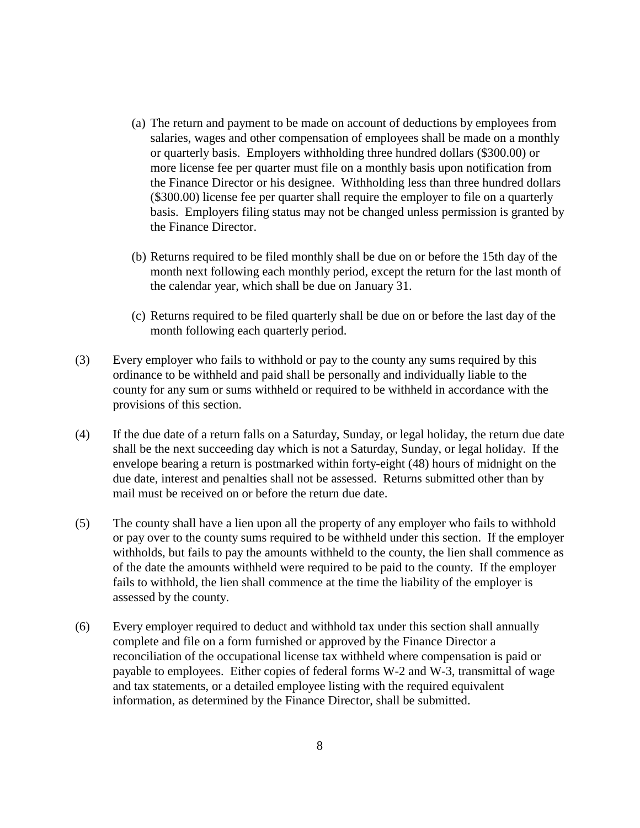- (a) The return and payment to be made on account of deductions by employees from salaries, wages and other compensation of employees shall be made on a monthly or quarterly basis. Employers withholding three hundred dollars (\$300.00) or more license fee per quarter must file on a monthly basis upon notification from the Finance Director or his designee. Withholding less than three hundred dollars (\$300.00) license fee per quarter shall require the employer to file on a quarterly basis. Employers filing status may not be changed unless permission is granted by the Finance Director.
- (b) Returns required to be filed monthly shall be due on or before the 15th day of the month next following each monthly period, except the return for the last month of the calendar year, which shall be due on January 31.
- (c) Returns required to be filed quarterly shall be due on or before the last day of the month following each quarterly period.
- (3) Every employer who fails to withhold or pay to the county any sums required by this ordinance to be withheld and paid shall be personally and individually liable to the county for any sum or sums withheld or required to be withheld in accordance with the provisions of this section.
- (4) If the due date of a return falls on a Saturday, Sunday, or legal holiday, the return due date shall be the next succeeding day which is not a Saturday, Sunday, or legal holiday. If the envelope bearing a return is postmarked within forty-eight (48) hours of midnight on the due date, interest and penalties shall not be assessed. Returns submitted other than by mail must be received on or before the return due date.
- (5) The county shall have a lien upon all the property of any employer who fails to withhold or pay over to the county sums required to be withheld under this section. If the employer withholds, but fails to pay the amounts withheld to the county, the lien shall commence as of the date the amounts withheld were required to be paid to the county. If the employer fails to withhold, the lien shall commence at the time the liability of the employer is assessed by the county.
- (6) Every employer required to deduct and withhold tax under this section shall annually complete and file on a form furnished or approved by the Finance Director a reconciliation of the occupational license tax withheld where compensation is paid or payable to employees. Either copies of federal forms W-2 and W-3, transmittal of wage and tax statements, or a detailed employee listing with the required equivalent information, as determined by the Finance Director, shall be submitted.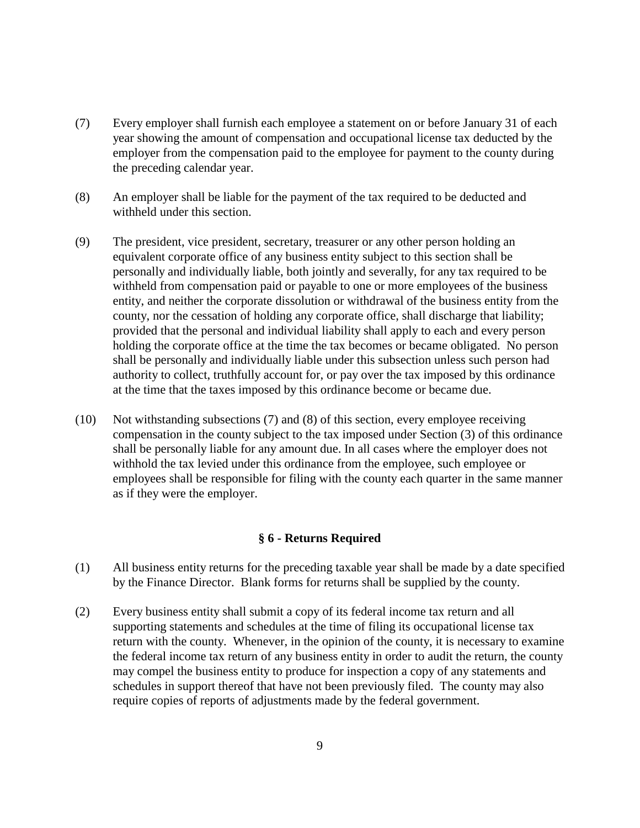- (7) Every employer shall furnish each employee a statement on or before January 31 of each year showing the amount of compensation and occupational license tax deducted by the employer from the compensation paid to the employee for payment to the county during the preceding calendar year.
- (8)An employer shall be liable for the payment of the tax required to be deducted and withheld under this section.
- (9) The president, vice president, secretary, treasurer or any other person holding an equivalent corporate office of any business entity subject to this section shall be personally and individually liable, both jointly and severally, for any tax required to be withheld from compensation paid or payable to one or more employees of the business entity, and neither the corporate dissolution or withdrawal of the business entity from the county, nor the cessation of holding any corporate office, shall discharge that liability; provided that the personal and individual liability shall apply to each and every person holding the corporate office at the time the tax becomes or became obligated. No person shall be personally and individually liable under this subsection unless such person had authority to collect, truthfully account for, or pay over the tax imposed by this ordinance at the time that the taxes imposed by this ordinance become or became due.
- (10) Not withstanding subsections (7) and (8) of this section, every employee receiving compensation in the county subject to the tax imposed under Section (3) of this ordinance shall be personally liable for any amount due. In all cases where the employer does not withhold the tax levied under this ordinance from the employee, such employee or employees shall be responsible for filing with the county each quarter in the same manner as if they were the employer.

#### **§ 6 - Returns Required**

- (1) All business entity returns for the preceding taxable year shall be made by a date specified by the Finance Director. Blank forms for returns shall be supplied by the county.
- (2) Every business entity shall submit a copy of its federal income tax return and all supporting statements and schedules at the time of filing its occupational license tax return with the county. Whenever, in the opinion of the county, it is necessary to examine the federal income tax return of any business entity in order to audit the return, the county may compel the business entity to produce for inspection a copy of any statements and schedules in support thereof that have not been previously filed. The county may also require copies of reports of adjustments made by the federal government.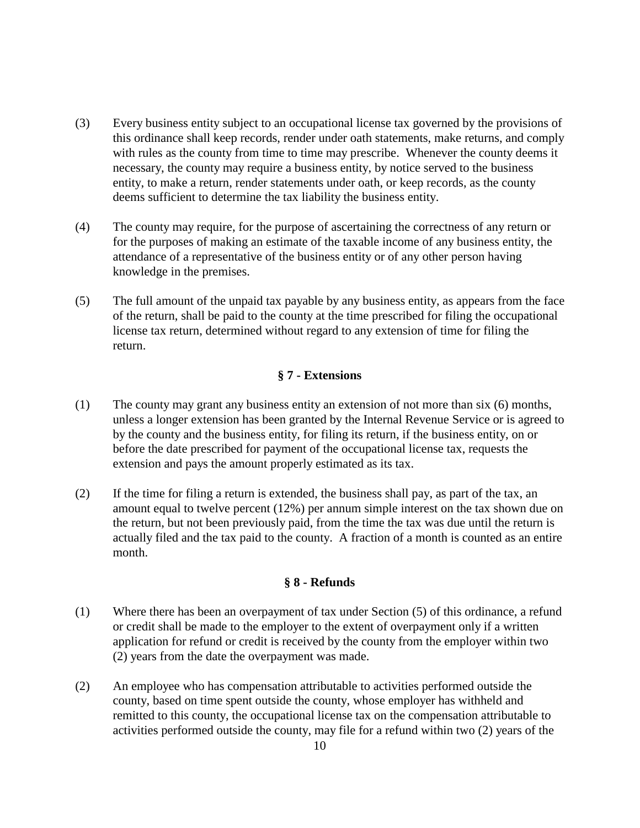- (3) Every business entity subject to an occupational license tax governed by the provisions of this ordinance shall keep records, render under oath statements, make returns, and comply with rules as the county from time to time may prescribe. Whenever the county deems it necessary, the county may require a business entity, by notice served to the business entity, to make a return, render statements under oath, or keep records, as the county deems sufficient to determine the tax liability the business entity.
- (4) The county may require, for the purpose of ascertaining the correctness of any return or for the purposes of making an estimate of the taxable income of any business entity, the attendance of a representative of the business entity or of any other person having knowledge in the premises.
- (5) The full amount of the unpaid tax payable by any business entity, as appears from the face of the return, shall be paid to the county at the time prescribed for filing the occupational license tax return, determined without regard to any extension of time for filing the return.

# **§ 7 - Extensions**

- (1) The county may grant any business entity an extension of not more than six (6) months, unless a longer extension has been granted by the Internal Revenue Service or is agreed to by the county and the business entity, for filing its return, if the business entity, on or before the date prescribed for payment of the occupational license tax, requests the extension and pays the amount properly estimated as its tax.
- (2) If the time for filing a return is extended, the business shall pay, as part of the tax, an amount equal to twelve percent (12%) per annum simple interest on the tax shown due on the return, but not been previously paid, from the time the tax was due until the return is actually filed and the tax paid to the county. A fraction of a month is counted as an entire month.

# **§ 8 - Refunds**

- (1) Where there has been an overpayment of tax under Section (5) of this ordinance, a refund or credit shall be made to the employer to the extent of overpayment only if a written application for refund or credit is received by the county from the employer within two (2) years from the date the overpayment was made.
- (2) An employee who has compensation attributable to activities performed outside the county, based on time spent outside the county, whose employer has withheld and remitted to this county, the occupational license tax on the compensation attributable to activities performed outside the county, may file for a refund within two (2) years of the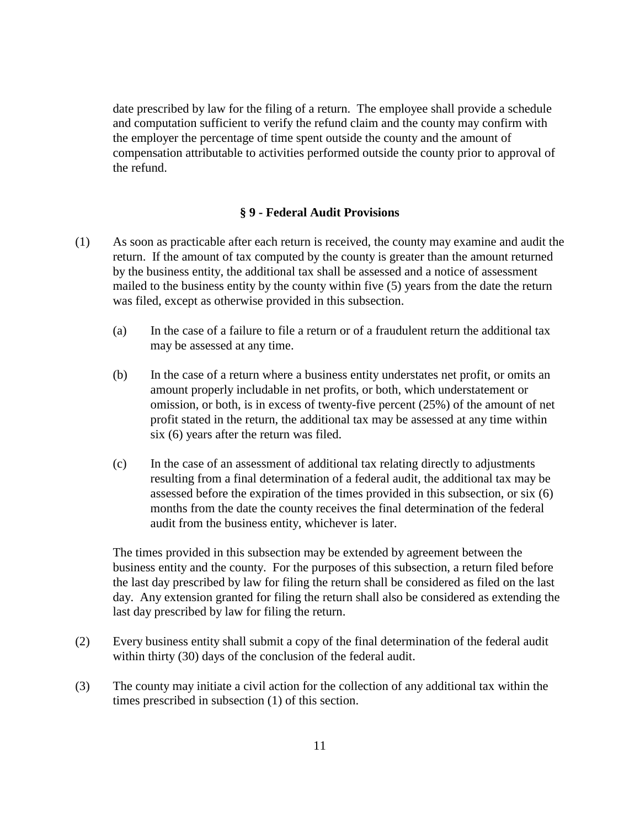date prescribed by law for the filing of a return. The employee shall provide a schedule and computation sufficient to verify the refund claim and the county may confirm with the employer the percentage of time spent outside the county and the amount of compensation attributable to activities performed outside the county prior to approval of the refund.

### **§ 9 - Federal Audit Provisions**

- (1) As soon as practicable after each return is received, the county may examine and audit the return. If the amount of tax computed by the county is greater than the amount returned by the business entity, the additional tax shall be assessed and a notice of assessment mailed to the business entity by the county within five (5) years from the date the return was filed, except as otherwise provided in this subsection.
	- (a) In the case of a failure to file a return or of a fraudulent return the additional tax may be assessed at any time.
	- (b) In the case of a return where a business entity understates net profit, or omits an amount properly includable in net profits, or both, which understatement or omission, or both, is in excess of twenty-five percent (25%) of the amount of net profit stated in the return, the additional tax may be assessed at any time within six (6) years after the return was filed.
	- (c) In the case of an assessment of additional tax relating directly to adjustments resulting from a final determination of a federal audit, the additional tax may be assessed before the expiration of the times provided in this subsection, or six (6) months from the date the county receives the final determination of the federal audit from the business entity, whichever is later.

The times provided in this subsection may be extended by agreement between the business entity and the county. For the purposes of this subsection, a return filed before the last day prescribed by law for filing the return shall be considered as filed on the last day. Any extension granted for filing the return shall also be considered as extending the last day prescribed by law for filing the return.

- (2) Every business entity shall submit a copy of the final determination of the federal audit within thirty (30) days of the conclusion of the federal audit.
- (3) The county may initiate a civil action for the collection of any additional tax within the times prescribed in subsection (1) of this section.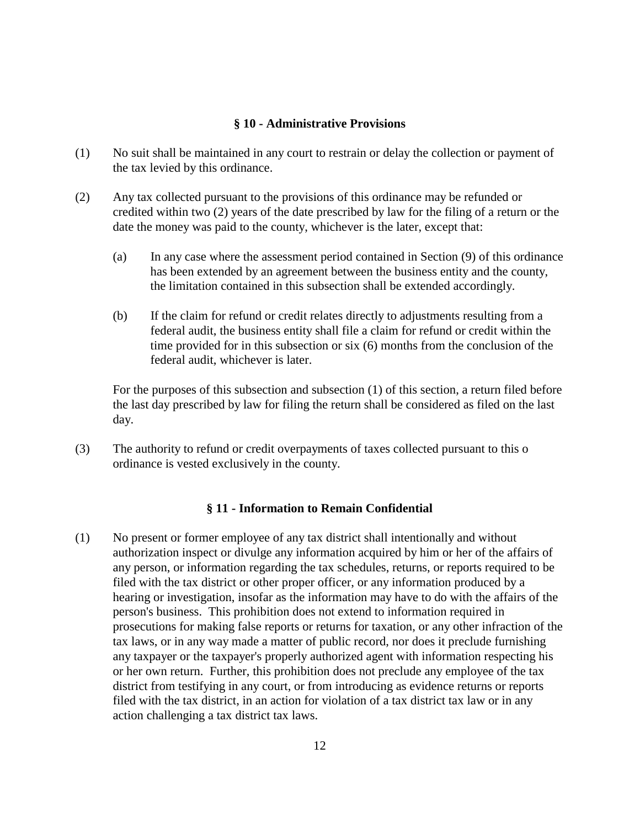#### **§ 10 - Administrative Provisions**

- (1)No suit shall be maintained in any court to restrain or delay the collection or payment of the tax levied by this ordinance.
- (2) Any tax collected pursuant to the provisions of this ordinance may be refunded or credited within two (2) years of the date prescribed by law for the filing of a return or the date the money was paid to the county, whichever is the later, except that:
	- (a) In any case where the assessment period contained in Section (9) of this ordinance has been extended by an agreement between the business entity and the county, the limitation contained in this subsection shall be extended accordingly.
	- (b) If the claim for refund or credit relates directly to adjustments resulting from a federal audit, the business entity shall file a claim for refund or credit within the time provided for in this subsection or six (6) months from the conclusion of the federal audit, whichever is later.

For the purposes of this subsection and subsection (1) of this section, a return filed before the last day prescribed by law for filing the return shall be considered as filed on the last day.

(3) The authority to refund or credit overpayments of taxes collected pursuant to this o ordinance is vested exclusively in the county.

# **§ 11 - Information to Remain Confidential**

(1) No present or former employee of any tax district shall intentionally and without authorization inspect or divulge any information acquired by him or her of the affairs of any person, or information regarding the tax schedules, returns, or reports required to be filed with the tax district or other proper officer, or any information produced by a hearing or investigation, insofar as the information may have to do with the affairs of the person's business. This prohibition does not extend to information required in prosecutions for making false reports or returns for taxation, or any other infraction of the tax laws, or in any way made a matter of public record, nor does it preclude furnishing any taxpayer or the taxpayer's properly authorized agent with information respecting his or her own return. Further, this prohibition does not preclude any employee of the tax district from testifying in any court, or from introducing as evidence returns or reports filed with the tax district, in an action for violation of a tax district tax law or in any action challenging a tax district tax laws.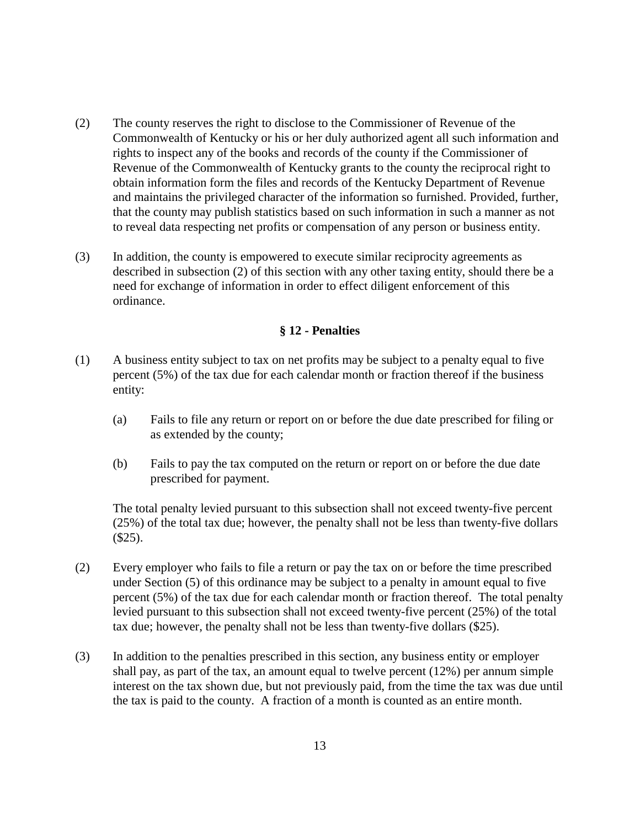- (2) The county reserves the right to disclose to the Commissioner of Revenue of the Commonwealth of Kentucky or his or her duly authorized agent all such information and rights to inspect any of the books and records of the county if the Commissioner of Revenue of the Commonwealth of Kentucky grants to the county the reciprocal right to obtain information form the files and records of the Kentucky Department of Revenue and maintains the privileged character of the information so furnished. Provided, further, that the county may publish statistics based on such information in such a manner as not to reveal data respecting net profits or compensation of any person or business entity.
- (3) In addition, the county is empowered to execute similar reciprocity agreements as described in subsection (2) of this section with any other taxing entity, should there be a need for exchange of information in order to effect diligent enforcement of this ordinance.

### **§ 12 - Penalties**

- (1) A business entity subject to tax on net profits may be subject to a penalty equal to five percent (5%) of the tax due for each calendar month or fraction thereof if the business entity:
	- (a) Fails to file any return or report on or before the due date prescribed for filing or as extended by the county;
	- (b) Fails to pay the tax computed on the return or report on or before the due date prescribed for payment.

The total penalty levied pursuant to this subsection shall not exceed twenty-five percent (25%) of the total tax due; however, the penalty shall not be less than twenty-five dollars  $($25).$ 

- (2) Every employer who fails to file a return or pay the tax on or before the time prescribed under Section (5) of this ordinance may be subject to a penalty in amount equal to five percent (5%) of the tax due for each calendar month or fraction thereof. The total penalty levied pursuant to this subsection shall not exceed twenty-five percent (25%) of the total tax due; however, the penalty shall not be less than twenty-five dollars (\$25).
- (3) In addition to the penalties prescribed in this section, any business entity or employer shall pay, as part of the tax, an amount equal to twelve percent (12%) per annum simple interest on the tax shown due, but not previously paid, from the time the tax was due until the tax is paid to the county. A fraction of a month is counted as an entire month.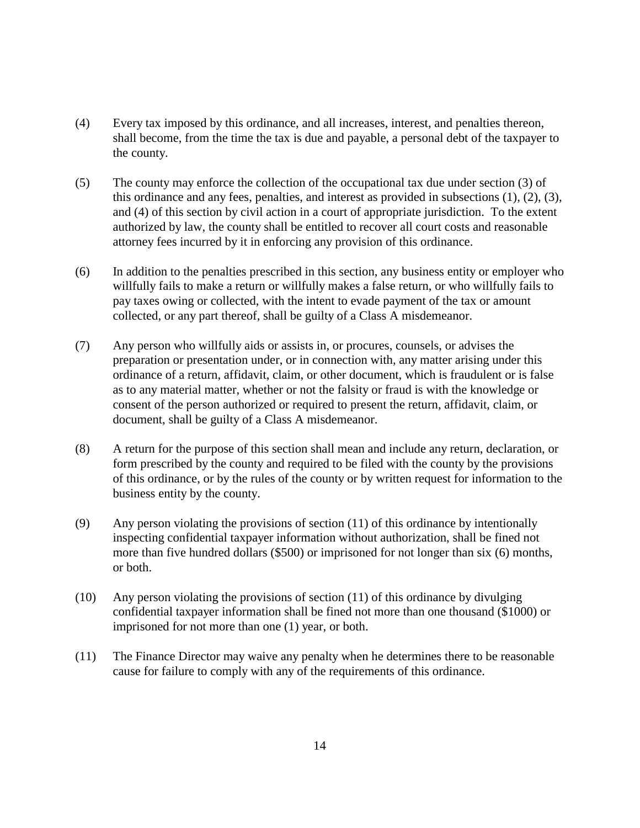- (4) Every tax imposed by this ordinance, and all increases, interest, and penalties thereon, shall become, from the time the tax is due and payable, a personal debt of the taxpayer to the county.
- (5) The county may enforce the collection of the occupational tax due under section (3) of this ordinance and any fees, penalties, and interest as provided in subsections (1), (2), (3), and (4) of this section by civil action in a court of appropriate jurisdiction. To the extent authorized by law, the county shall be entitled to recover all court costs and reasonable attorney fees incurred by it in enforcing any provision of this ordinance.
- (6) In addition to the penalties prescribed in this section, any business entity or employer who willfully fails to make a return or willfully makes a false return, or who willfully fails to pay taxes owing or collected, with the intent to evade payment of the tax or amount collected, or any part thereof, shall be guilty of a Class A misdemeanor.
- (7) Any person who willfully aids or assists in, or procures, counsels, or advises the preparation or presentation under, or in connection with, any matter arising under this ordinance of a return, affidavit, claim, or other document, which is fraudulent or is false as to any material matter, whether or not the falsity or fraud is with the knowledge or consent of the person authorized or required to present the return, affidavit, claim, or document, shall be guilty of a Class A misdemeanor.
- (8) A return for the purpose of this section shall mean and include any return, declaration, or form prescribed by the county and required to be filed with the county by the provisions of this ordinance, or by the rules of the county or by written request for information to the business entity by the county.
- (9) Any person violating the provisions of section (11) of this ordinance by intentionally inspecting confidential taxpayer information without authorization, shall be fined not more than five hundred dollars (\$500) or imprisoned for not longer than six (6) months, or both.
- (10) Any person violating the provisions of section (11) of this ordinance by divulging confidential taxpayer information shall be fined not more than one thousand (\$1000) or imprisoned for not more than one (1) year, or both.
- (11) The Finance Director may waive any penalty when he determines there to be reasonable cause for failure to comply with any of the requirements of this ordinance.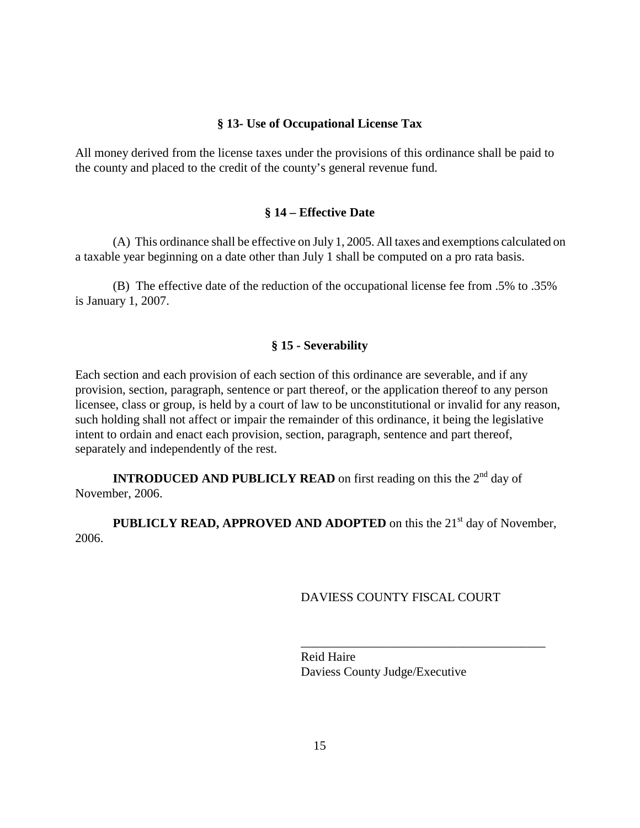### **§ 13- Use of Occupational License Tax**

All money derived from the license taxes under the provisions of this ordinance shall be paid to the county and placed to the credit of the county's general revenue fund.

### **§ 14 – Effective Date**

(A) This ordinance shall be effective on July 1, 2005. All taxes and exemptions calculated on a taxable year beginning on a date other than July 1 shall be computed on a pro rata basis.

(B) The effective date of the reduction of the occupational license fee from .5% to .35% is January 1, 2007.

#### **§ 15 - Severability**

Each section and each provision of each section of this ordinance are severable, and if any provision, section, paragraph, sentence or part thereof, or the application thereof to any person licensee, class or group, is held by a court of law to be unconstitutional or invalid for any reason, such holding shall not affect or impair the remainder of this ordinance, it being the legislative intent to ordain and enact each provision, section, paragraph, sentence and part thereof, separately and independently of the rest.

**INTRODUCED AND PUBLICLY READ** on first reading on this the 2<sup>nd</sup> day of November, 2006.

**PUBLICLY READ, APPROVED AND ADOPTED** on this the 21<sup>st</sup> day of November, 2006.

 $\overline{\phantom{a}}$  , which is a constant of the constant of the constant of the constant of the constant of the constant of the constant of the constant of the constant of the constant of the constant of the constant of the cons

#### DAVIESS COUNTY FISCAL COURT

Reid Haire Daviess County Judge/Executive